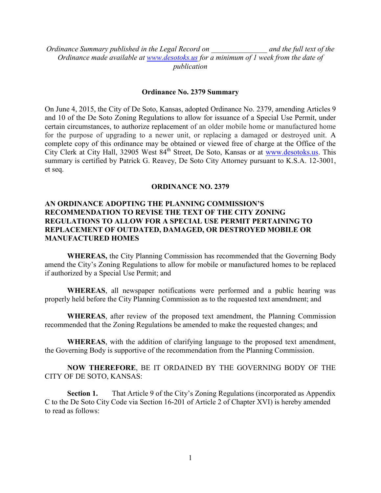*Ordinance Summary published in the Legal Record on \_\_\_\_\_\_\_\_\_\_\_\_\_\_\_ and the full text of the Ordinance made available at [www.desotoks.us](http://www.desotoks.us/) for a minimum of 1 week from the date of publication*

## **Ordinance No. 2379 Summary**

On June 4, 2015, the City of De Soto, Kansas, adopted Ordinance No. 2379, amending Articles 9 and 10 of the De Soto Zoning Regulations to allow for issuance of a Special Use Permit, under certain circumstances, to authorize replacement of an older mobile home or manufactured home for the purpose of upgrading to a newer unit, or replacing a damaged or destroyed unit. A complete copy of this ordinance may be obtained or viewed free of charge at the Office of the City Clerk at City Hall, 32905 West 84<sup>th</sup> Street, De Soto, Kansas or at [www.desotoks.us.](http://www.desotoks.us/) This summary is certified by Patrick G. Reavey, De Soto City Attorney pursuant to K.S.A. 12-3001, et seq.

# **ORDINANCE NO. 2379**

# **AN ORDINANCE ADOPTING THE PLANNING COMMISSION'S RECOMMENDATION TO REVISE THE TEXT OF THE CITY ZONING REGULATIONS TO ALLOW FOR A SPECIAL USE PERMIT PERTAINING TO REPLACEMENT OF OUTDATED, DAMAGED, OR DESTROYED MOBILE OR MANUFACTURED HOMES**

**WHEREAS,** the City Planning Commission has recommended that the Governing Body amend the City's Zoning Regulations to allow for mobile or manufactured homes to be replaced if authorized by a Special Use Permit; and

**WHEREAS**, all newspaper notifications were performed and a public hearing was properly held before the City Planning Commission as to the requested text amendment; and

**WHEREAS**, after review of the proposed text amendment, the Planning Commission recommended that the Zoning Regulations be amended to make the requested changes; and

**WHEREAS**, with the addition of clarifying language to the proposed text amendment, the Governing Body is supportive of the recommendation from the Planning Commission.

**NOW THEREFORE**, BE IT ORDAINED BY THE GOVERNING BODY OF THE CITY OF DE SOTO, KANSAS:

**Section 1.** That Article 9 of the City's Zoning Regulations (incorporated as Appendix C to the De Soto City Code via Section 16-201 of Article 2 of Chapter XVI) is hereby amended to read as follows: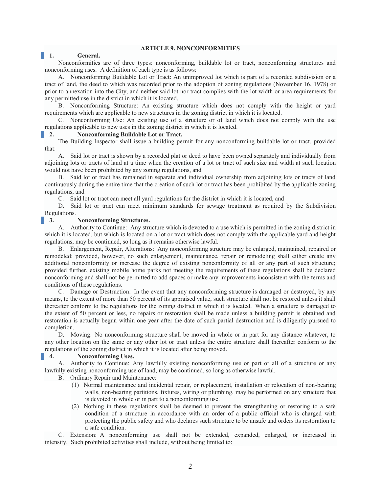#### **ARTICLE 9. NONCONFORMITIES**

#### **1. General.**

Nonconformities are of three types: nonconforming, buildable lot or tract, nonconforming structures and nonconforming uses. A definition of each type is as follows:

A. Nonconforming Buildable Lot or Tract: An unimproved lot which is part of a recorded subdivision or a tract of land, the deed to which was recorded prior to the adoption of zoning regulations (November 16, 1978) or prior to annexation into the City, and neither said lot nor tract complies with the lot width or area requirements for any permitted use in the district in which it is located.

B. Nonconforming Structure: An existing structure which does not comply with the height or yard requirements which are applicable to new structures in the zoning district in which it is located.

C. Nonconforming Use: An existing use of a structure or of land which does not comply with the use regulations applicable to new uses in the zoning district in which it is located.

## **2. Nonconforming Buildable Lot or Tract.**

The Building Inspector shall issue a building permit for any nonconforming buildable lot or tract, provided that:

A. Said lot or tract is shown by a recorded plat or deed to have been owned separately and individually from adjoining lots or tracts of land at a time when the creation of a lot or tract of such size and width at such location would not have been prohibited by any zoning regulations, and

B. Said lot or tract has remained in separate and individual ownership from adjoining lots or tracts of land continuously during the entire time that the creation of such lot or tract has been prohibited by the applicable zoning regulations, and

C. Said lot or tract can meet all yard regulations for the district in which it is located, and

D. Said lot or tract can meet minimum standards for sewage treatment as required by the Subdivision Regulations.

#### **3. Nonconforming Structures.**

A. Authority to Continue: Any structure which is devoted to a use which is permitted in the zoning district in which it is located, but which is located on a lot or tract which does not comply with the applicable yard and height regulations, may be continued, so long as it remains otherwise lawful.

B. Enlargement, Repair, Alterations: Any nonconforming structure may be enlarged, maintained, repaired or remodeled; provided, however, no such enlargement, maintenance, repair or remodeling shall either create any additional nonconformity or increase the degree of existing nonconformity of all or any part of such structure; provided further, existing mobile home parks not meeting the requirements of these regulations shall be declared nonconforming and shall not be permitted to add spaces or make any improvements inconsistent with the terms and conditions of these regulations.

C. Damage or Destruction: In the event that any nonconforming structure is damaged or destroyed, by any means, to the extent of more than 50 percent of its appraised value, such structure shall not be restored unless it shall thereafter conform to the regulations for the zoning district in which it is located. When a structure is damaged to the extent of 50 percent or less, no repairs or restoration shall be made unless a building permit is obtained and restoration is actually begun within one year after the date of such partial destruction and is diligently pursued to completion.

D. Moving: No nonconforming structure shall be moved in whole or in part for any distance whatever, to any other location on the same or any other lot or tract unless the entire structure shall thereafter conform to the regulations of the zoning district in which it is located after being moved.

#### **4. Nonconforming Uses.**

A. Authority to Continue: Any lawfully existing nonconforming use or part or all of a structure or any lawfully existing nonconforming use of land, may be continued, so long as otherwise lawful.

B. Ordinary Repair and Maintenance:

- (1) Normal maintenance and incidental repair, or replacement, installation or relocation of non-bearing walls, non-bearing partitions, fixtures, wiring or plumbing, may be performed on any structure that is devoted in whole or in part to a nonconforming use.
- (2) Nothing in these regulations shall be deemed to prevent the strengthening or restoring to a safe condition of a structure in accordance with an order of a public official who is charged with protecting the public safety and who declares such structure to be unsafe and orders its restoration to a safe condition.

C. Extension: A nonconforming use shall not be extended, expanded, enlarged, or increased in intensity. Such prohibited activities shall include, without being limited to: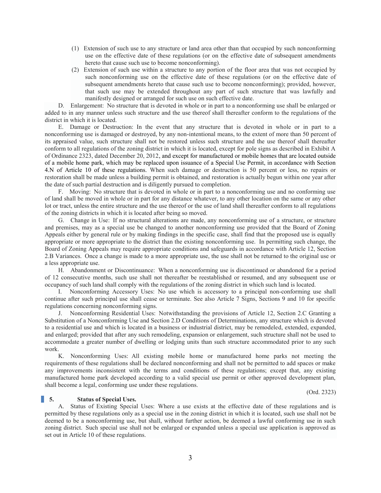- (1) Extension of such use to any structure or land area other than that occupied by such nonconforming use on the effective date of these regulations (or on the effective date of subsequent amendments hereto that cause such use to become nonconforming).
- (2) Extension of such use within a structure to any portion of the floor area that was not occupied by such nonconforming use on the effective date of these regulations (or on the effective date of subsequent amendments hereto that cause such use to become nonconforming); provided, however, that such use may be extended throughout any part of such structure that was lawfully and manifestly designed or arranged for such use on such effective date.

D. Enlargement: No structure that is devoted in whole or in part to a nonconforming use shall be enlarged or added to in any manner unless such structure and the use thereof shall thereafter conform to the regulations of the district in which it is located.

E. Damage or Destruction: In the event that any structure that is devoted in whole or in part to a nonconforming use is damaged or destroyed, by any non-intentional means, to the extent of more than 50 percent of its appraised value, such structure shall not be restored unless such structure and the use thereof shall thereafter conform to all regulations of the zoning district in which it is located, except for pole signs as described in Exhibit A of Ordinance 2323, dated December 20, 2012, and except for manufactured or mobile homes that are located outside of a mobile home park, which may be replaced upon issuance of a Special Use Permit, in accordance with Section 4.N of Article 10 of these regulations. When such damage or destruction is 50 percent or less, no repairs or restoration shall be made unless a building permit is obtained, and restoration is actually begun within one year after the date of such partial destruction and is diligently pursued to completion.

F. Moving: No structure that is devoted in whole or in part to a nonconforming use and no conforming use of land shall be moved in whole or in part for any distance whatever, to any other location on the same or any other lot or tract, unless the entire structure and the use thereof or the use of land shall thereafter conform to all regulations of the zoning districts in which it is located after being so moved.

G. Change in Use: If no structural alterations are made, any nonconforming use of a structure, or structure and premises, may as a special use be changed to another nonconforming use provided that the Board of Zoning Appeals either by general rule or by making findings in the specific case, shall find that the proposed use is equally appropriate or more appropriate to the district than the existing nonconforming use. In permitting such change, the Board of Zoning Appeals may require appropriate conditions and safeguards in accordance with Article 12, Section 2.B Variances. Once a change is made to a more appropriate use, the use shall not be returned to the original use or a less appropriate use.

H. Abandonment or Discontinuance: When a nonconforming use is discontinued or abandoned for a period of 12 consecutive months, such use shall not thereafter be reestablished or resumed, and any subsequent use or occupancy of such land shall comply with the regulations of the zoning district in which such land is located.

I. Nonconforming Accessory Uses: No use which is accessory to a principal non-conforming use shall continue after such principal use shall cease or terminate. See also Article 7 Signs, Sections 9 and 10 for specific regulations concerning nonconforming signs.

J. Nonconforming Residential Uses: Notwithstanding the provisions of Article 12, Section 2.C Granting a Substitution of a Nonconforming Use and Section 2.D Conditions of Determinations, any structure which is devoted to a residential use and which is located in a business or industrial district, may be remodeled, extended, expanded, and enlarged; provided that after any such remodeling, expansion or enlargement, such structure shall not be used to accommodate a greater number of dwelling or lodging units than such structure accommodated prior to any such work.

K. Nonconforming Uses: All existing mobile home or manufactured home parks not meeting the requirements of these regulations shall be declared nonconforming and shall not be permitted to add spaces or make any improvements inconsistent with the terms and conditions of these regulations; except that, any existing manufactured home park developed according to a valid special use permit or other approved development plan, shall become a legal, conforming use under these regulations.

(Ord. 2323)

#### **5. Status of Special Uses.**

A. Status of Existing Special Uses: Where a use exists at the effective date of these regulations and is permitted by these regulations only as a special use in the zoning district in which it is located, such use shall not be deemed to be a nonconforming use, but shall, without further action, be deemed a lawful conforming use in such zoning district. Such special use shall not be enlarged or expanded unless a special use application is approved as set out in Article 10 of these regulations.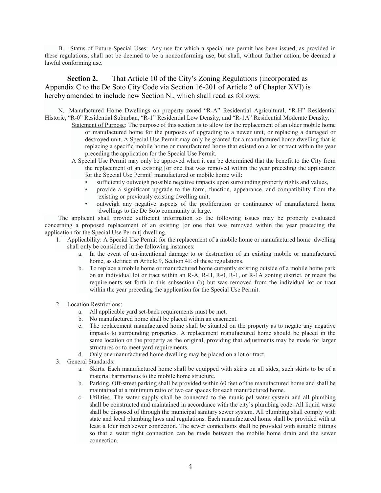B. Status of Future Special Uses: Any use for which a special use permit has been issued, as provided in these regulations, shall not be deemed to be a nonconforming use, but shall, without further action, be deemed a lawful conforming use.

**Section 2.** That Article 10 of the City's Zoning Regulations (incorporated as Appendix C to the De Soto City Code via Section 16-201 of Article 2 of Chapter XVI) is hereby amended to include new Section N., which shall read as follows:

N. Manufactured Home Dwellings on property zoned "R-A" Residential Agricultural, "R-H" Residential Historic, "R-0" Residential Suburban, "R-1" Residential Low Density, and "R-1A" Residential Moderate Density.

- Statement of Purpose: The purpose of this section is to allow for the replacement of an older mobile home or manufactured home for the purposes of upgrading to a newer unit, or replacing a damaged or destroyed unit. A Special Use Permit may only be granted for a manufactured home dwelling that is replacing a specific mobile home or manufactured home that existed on a lot or tract within the year preceding the application for the Special Use Permit.
- A Special Use Permit may only be approved when it can be determined that the benefit to the City from the replacement of an existing [or one that was removed within the year preceding the application for the Special Use Permit] manufactured or mobile home will:
	- sufficiently outweigh possible negative impacts upon surrounding property rights and values,
	- provide a significant upgrade to the form, function, appearance, and compatibility from the existing or previously existing dwelling unit,
	- outweigh any negative aspects of the proliferation or continuance of manufactured home dwellings to the De Soto community at large.

The applicant shall provide sufficient information so the following issues may be properly evaluated concerning a proposed replacement of an existing [or one that was removed within the year preceding the application for the Special Use Permit] dwelling.

- 1. Applicability: A Special Use Permit for the replacement of a mobile home or manufactured home dwelling shall only be considered in the following instances:
	- a. In the event of un-intentional damage to or destruction of an existing mobile or manufactured home, as defined in Article 9, Section 4E of these regulations.
	- b. To replace a mobile home or manufactured home currently existing outside of a mobile home park on an individual lot or tract within an R-A, R-H, R-0, R-1, or R-1A zoning district, or meets the requirements set forth in this subsection (b) but was removed from the individual lot or tract within the year preceding the application for the Special Use Permit.
- 2. Location Restrictions:
	- a. All applicable yard set-back requirements must be met.
	- b. No manufactured home shall be placed within an easement.
	- c. The replacement manufactured home shall be situated on the property as to negate any negative impacts to surrounding properties. A replacement manufactured home should be placed in the same location on the property as the original, providing that adjustments may be made for larger structures or to meet yard requirements.
	- d. Only one manufactured home dwelling may be placed on a lot or tract.
- 3. General Standards:
	- a. Skirts. Each manufactured home shall be equipped with skirts on all sides, such skirts to be of a material harmonious to the mobile home structure.
	- b. Parking. Off-street parking shall be provided within 60 feet of the manufactured home and shall be maintained at a minimum ratio of two car spaces for each manufactured home.
	- c. Utilities. The water supply shall be connected to the municipal water system and all plumbing shall be constructed and maintained in accordance with the city's plumbing code. All liquid waste shall be disposed of through the municipal sanitary sewer system. All plumbing shall comply with state and local plumbing laws and regulations. Each manufactured home shall be provided with at least a four inch sewer connection. The sewer connections shall be provided with suitable fittings so that a water tight connection can be made between the mobile home drain and the sewer connection.